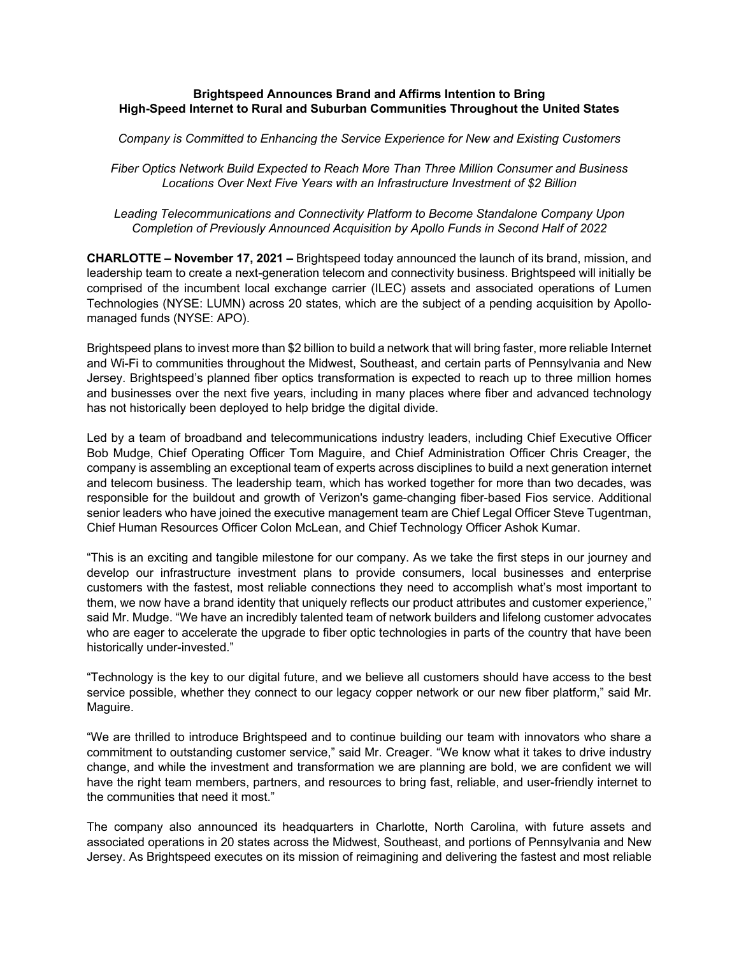## **Brightspeed Announces Brand and Affirms Intention to Bring High-Speed Internet to Rural and Suburban Communities Throughout the United States**

## *Company is Committed to Enhancing the Service Experience for New and Existing Customers*

*Fiber Optics Network Build Expected to Reach More Than Three Million Consumer and Business Locations Over Next Five Years with an Infrastructure Investment of \$2 Billion*

*Leading Telecommunications and Connectivity Platform to Become Standalone Company Upon Completion of Previously Announced Acquisition by Apollo Funds in Second Half of 2022*

**CHARLOTTE – November 17, 2021 –** Brightspeed today announced the launch of its brand, mission, and leadership team to create a next-generation telecom and connectivity business. Brightspeed will initially be comprised of the incumbent local exchange carrier (ILEC) assets and associated operations of Lumen Technologies (NYSE: LUMN) across 20 states, which are the subject of a pending acquisition by Apollomanaged funds (NYSE: APO).

Brightspeed plans to invest more than \$2 billion to build a network that will bring faster, more reliable Internet and Wi-Fi to communities throughout the Midwest, Southeast, and certain parts of Pennsylvania and New Jersey. Brightspeed's planned fiber optics transformation is expected to reach up to three million homes and businesses over the next five years, including in many places where fiber and advanced technology has not historically been deployed to help bridge the digital divide.

Led by a team of broadband and telecommunications industry leaders, including Chief Executive Officer Bob Mudge, Chief Operating Officer Tom Maguire, and Chief Administration Officer Chris Creager, the company is assembling an exceptional team of experts across disciplines to build a next generation internet and telecom business. The leadership team, which has worked together for more than two decades, was responsible for the buildout and growth of Verizon's game-changing fiber-based Fios service. Additional senior leaders who have joined the executive management team are Chief Legal Officer Steve Tugentman, Chief Human Resources Officer Colon McLean, and Chief Technology Officer Ashok Kumar.

"This is an exciting and tangible milestone for our company. As we take the first steps in our journey and develop our infrastructure investment plans to provide consumers, local businesses and enterprise customers with the fastest, most reliable connections they need to accomplish what's most important to them, we now have a brand identity that uniquely reflects our product attributes and customer experience," said Mr. Mudge. "We have an incredibly talented team of network builders and lifelong customer advocates who are eager to accelerate the upgrade to fiber optic technologies in parts of the country that have been historically under-invested."

"Technology is the key to our digital future, and we believe all customers should have access to the best service possible, whether they connect to our legacy copper network or our new fiber platform," said Mr. Maguire.

"We are thrilled to introduce Brightspeed and to continue building our team with innovators who share a commitment to outstanding customer service," said Mr. Creager. "We know what it takes to drive industry change, and while the investment and transformation we are planning are bold, we are confident we will have the right team members, partners, and resources to bring fast, reliable, and user-friendly internet to the communities that need it most."

The company also announced its headquarters in Charlotte, North Carolina, with future assets and associated operations in 20 states across the Midwest, Southeast, and portions of Pennsylvania and New Jersey. As Brightspeed executes on its mission of reimagining and delivering the fastest and most reliable